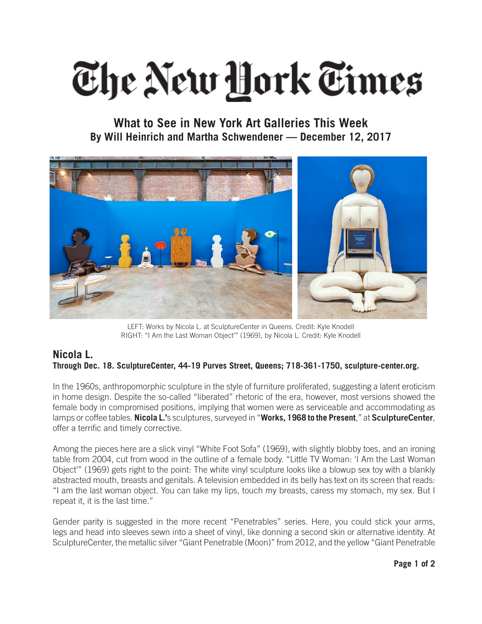## The New Hork Times

**What to See in New York Art Galleries This Week By Will Heinrich and Martha Schwendener — December 12, 2017**



LEFT: Works by Nicola L. at SculptureCenter in Queens. Credit: Kyle Knodell RIGHT: "I Am the Last Woman Object'" (1969), by Nicola L. Credit: Kyle Knodell

## **Nicola L. Through Dec. 18. SculptureCenter, 44-19 Purves Street, Queens; 718-361-1750, sculpture-center.org.**

In the 1960s, anthropomorphic sculpture in the style of furniture proliferated, suggesting a latent eroticism in home design. Despite the so-called "liberated" rhetoric of the era, however, most versions showed the female body in compromised positions, implying that women were as serviceable and accommodating as lamps or coffee tables. **Nicola L.'**s sculptures, surveyed in "**Works, 1968 to the Present**," at **SculptureCenter**, offer a terrific and timely corrective.

Among the pieces here are a slick vinyl "White Foot Sofa" (1969), with slightly blobby toes, and an ironing table from 2004, cut from wood in the outline of a female body. "Little TV Woman: 'I Am the Last Woman Object'" (1969) gets right to the point: The white vinyl sculpture looks like a blowup sex toy with a blankly abstracted mouth, breasts and genitals. A television embedded in its belly has text on its screen that reads: "I am the last woman object. You can take my lips, touch my breasts, caress my stomach, my sex. But I repeat it, it is the last time."

Gender parity is suggested in the more recent "Penetrables" series. Here, you could stick your arms, legs and head into sleeves sewn into a sheet of vinyl, like donning a second skin or alternative identity. At SculptureCenter, the metallic silver "Giant Penetrable (Moon)" from 2012, and the yellow "Giant Penetrable